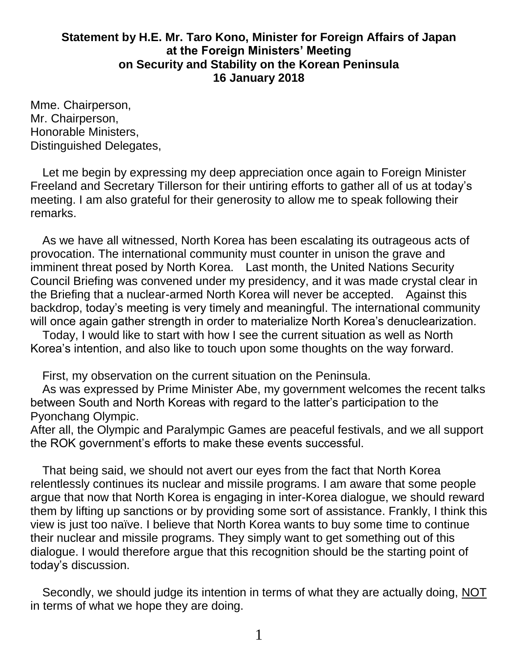## **Statement by H.E. Mr. Taro Kono, Minister for Foreign Affairs of Japan at the Foreign Ministers' Meeting on Security and Stability on the Korean Peninsula 16 January 2018**

Mme. Chairperson, Mr. Chairperson, Honorable Ministers, Distinguished Delegates,

Let me begin by expressing my deep appreciation once again to Foreign Minister Freeland and Secretary Tillerson for their untiring efforts to gather all of us at today's meeting. I am also grateful for their generosity to allow me to speak following their remarks.

As we have all witnessed, North Korea has been escalating its outrageous acts of provocation. The international community must counter in unison the grave and imminent threat posed by North Korea. Last month, the United Nations Security Council Briefing was convened under my presidency, and it was made crystal clear in the Briefing that a nuclear-armed North Korea will never be accepted. Against this backdrop, today's meeting is very timely and meaningful. The international community will once again gather strength in order to materialize North Korea's denuclearization.

Today, I would like to start with how I see the current situation as well as North Korea's intention, and also like to touch upon some thoughts on the way forward.

First, my observation on the current situation on the Peninsula.

As was expressed by Prime Minister Abe, my government welcomes the recent talks between South and North Koreas with regard to the latter's participation to the Pyonchang Olympic.

After all, the Olympic and Paralympic Games are peaceful festivals, and we all support the ROK government's efforts to make these events successful.

That being said, we should not avert our eyes from the fact that North Korea relentlessly continues its nuclear and missile programs. I am aware that some people argue that now that North Korea is engaging in inter-Korea dialogue, we should reward them by lifting up sanctions or by providing some sort of assistance. Frankly, I think this view is just too naïve. I believe that North Korea wants to buy some time to continue their nuclear and missile programs. They simply want to get something out of this dialogue. I would therefore argue that this recognition should be the starting point of today's discussion.

Secondly, we should judge its intention in terms of what they are actually doing, NOT in terms of what we hope they are doing.